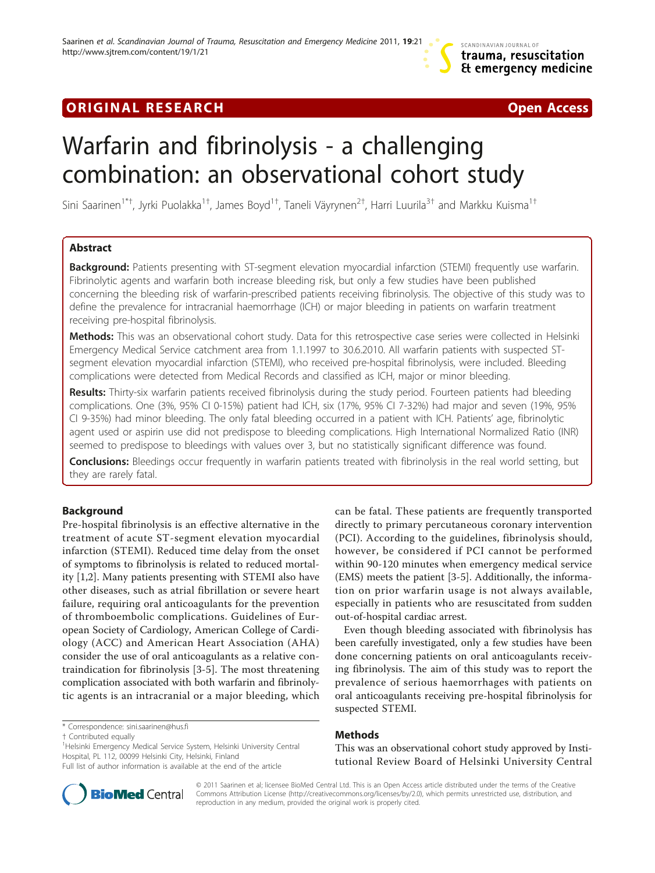# **ORIGINAL RESEARCH CONFIDENTIAL CONSUMING A LIGAN CONFIDENTIAL CONSUMING A LIGAN CONSUMING A LIGAN CONSUMING A**

# Warfarin and fibrinolysis - a challenging combination: an observational cohort study

Sini Saarinen<sup>1\*†</sup>, Jyrki Puolakka<sup>1†</sup>, James Boyd<sup>1†</sup>, Taneli Väyrynen<sup>2†</sup>, Harri Luurila<sup>3†</sup> and Markku Kuisma<sup>1†</sup>

# Abstract

Background: Patients presenting with ST-segment elevation myocardial infarction (STEMI) frequently use warfarin. Fibrinolytic agents and warfarin both increase bleeding risk, but only a few studies have been published concerning the bleeding risk of warfarin-prescribed patients receiving fibrinolysis. The objective of this study was to define the prevalence for intracranial haemorrhage (ICH) or major bleeding in patients on warfarin treatment receiving pre-hospital fibrinolysis.

Methods: This was an observational cohort study. Data for this retrospective case series were collected in Helsinki Emergency Medical Service catchment area from 1.1.1997 to 30.6.2010. All warfarin patients with suspected STsegment elevation myocardial infarction (STEMI), who received pre-hospital fibrinolysis, were included. Bleeding complications were detected from Medical Records and classified as ICH, major or minor bleeding.

Results: Thirty-six warfarin patients received fibrinolysis during the study period. Fourteen patients had bleeding complications. One (3%, 95% CI 0-15%) patient had ICH, six (17%, 95% CI 7-32%) had major and seven (19%, 95% CI 9-35%) had minor bleeding. The only fatal bleeding occurred in a patient with ICH. Patients' age, fibrinolytic agent used or aspirin use did not predispose to bleeding complications. High International Normalized Ratio (INR) seemed to predispose to bleedings with values over 3, but no statistically significant difference was found.

Conclusions: Bleedings occur frequently in warfarin patients treated with fibrinolysis in the real world setting, but they are rarely fatal.

# Background

Pre-hospital fibrinolysis is an effective alternative in the treatment of acute ST-segment elevation myocardial infarction (STEMI). Reduced time delay from the onset of symptoms to fibrinolysis is related to reduced mortality [[1,2\]](#page-4-0). Many patients presenting with STEMI also have other diseases, such as atrial fibrillation or severe heart failure, requiring oral anticoagulants for the prevention of thromboembolic complications. Guidelines of European Society of Cardiology, American College of Cardiology (ACC) and American Heart Association (AHA) consider the use of oral anticoagulants as a relative contraindication for fibrinolysis [[3-5](#page-4-0)]. The most threatening complication associated with both warfarin and fibrinolytic agents is an intracranial or a major bleeding, which

\* Correspondence: [sini.saarinen@hus.fi](mailto:sini.saarinen@hus.fi)

<sup>1</sup>Helsinki Emergency Medical Service System, Helsinki University Central Hospital, PL 112, 00099 Helsinki City, Helsinki, Finland

can be fatal. These patients are frequently transported directly to primary percutaneous coronary intervention (PCI). According to the guidelines, fibrinolysis should, however, be considered if PCI cannot be performed within 90-120 minutes when emergency medical service (EMS) meets the patient [\[3](#page-4-0)-[5\]](#page-4-0). Additionally, the information on prior warfarin usage is not always available, especially in patients who are resuscitated from sudden out-of-hospital cardiac arrest.

Even though bleeding associated with fibrinolysis has been carefully investigated, only a few studies have been done concerning patients on oral anticoagulants receiving fibrinolysis. The aim of this study was to report the prevalence of serious haemorrhages with patients on oral anticoagulants receiving pre-hospital fibrinolysis for suspected STEMI.

# Methods

This was an observational cohort study approved by Institutional Review Board of Helsinki University Central



© 2011 Saarinen et al; licensee BioMed Central Ltd. This is an Open Access article distributed under the terms of the Creative Commons Attribution License [\(http://creativecommons.org/licenses/by/2.0](http://creativecommons.org/licenses/by/2.0)), which permits unrestricted use, distribution, and reproduction in any medium, provided the original work is properly cited.

<sup>†</sup> Contributed equally <sup>1</sup>

Full list of author information is available at the end of the article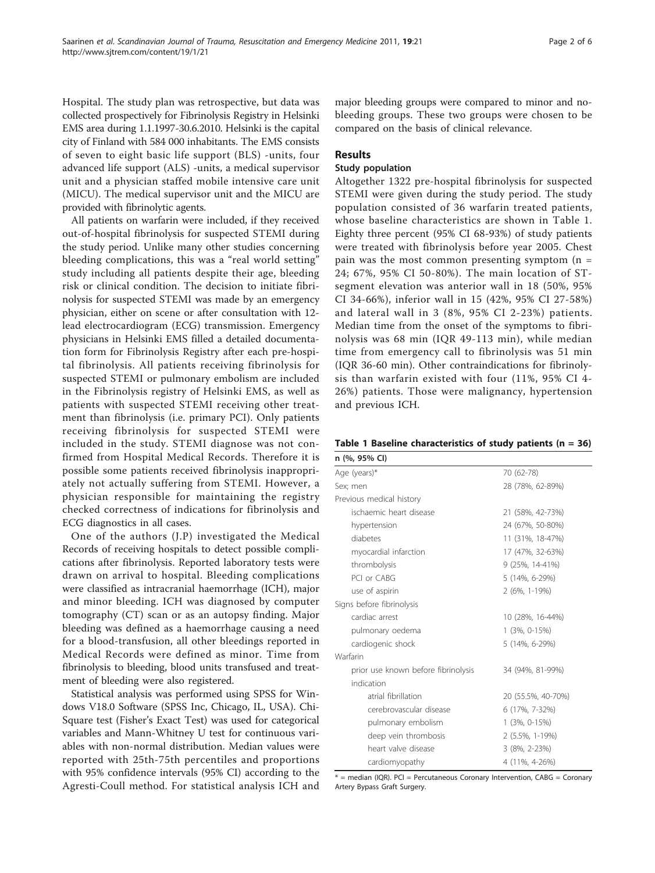Hospital. The study plan was retrospective, but data was collected prospectively for Fibrinolysis Registry in Helsinki EMS area during 1.1.1997-30.6.2010. Helsinki is the capital city of Finland with 584 000 inhabitants. The EMS consists of seven to eight basic life support (BLS) -units, four advanced life support (ALS) -units, a medical supervisor unit and a physician staffed mobile intensive care unit (MICU). The medical supervisor unit and the MICU are provided with fibrinolytic agents.

All patients on warfarin were included, if they received out-of-hospital fibrinolysis for suspected STEMI during the study period. Unlike many other studies concerning bleeding complications, this was a "real world setting" study including all patients despite their age, bleeding risk or clinical condition. The decision to initiate fibrinolysis for suspected STEMI was made by an emergency physician, either on scene or after consultation with 12 lead electrocardiogram (ECG) transmission. Emergency physicians in Helsinki EMS filled a detailed documentation form for Fibrinolysis Registry after each pre-hospital fibrinolysis. All patients receiving fibrinolysis for suspected STEMI or pulmonary embolism are included in the Fibrinolysis registry of Helsinki EMS, as well as patients with suspected STEMI receiving other treatment than fibrinolysis (i.e. primary PCI). Only patients receiving fibrinolysis for suspected STEMI were included in the study. STEMI diagnose was not confirmed from Hospital Medical Records. Therefore it is possible some patients received fibrinolysis inappropriately not actually suffering from STEMI. However, a physician responsible for maintaining the registry checked correctness of indications for fibrinolysis and ECG diagnostics in all cases.

One of the authors (J.P) investigated the Medical Records of receiving hospitals to detect possible complications after fibrinolysis. Reported laboratory tests were drawn on arrival to hospital. Bleeding complications were classified as intracranial haemorrhage (ICH), major and minor bleeding. ICH was diagnosed by computer tomography (CT) scan or as an autopsy finding. Major bleeding was defined as a haemorrhage causing a need for a blood-transfusion, all other bleedings reported in Medical Records were defined as minor. Time from fibrinolysis to bleeding, blood units transfused and treatment of bleeding were also registered.

Statistical analysis was performed using SPSS for Windows V18.0 Software (SPSS Inc, Chicago, IL, USA). Chi-Square test (Fisher's Exact Test) was used for categorical variables and Mann-Whitney U test for continuous variables with non-normal distribution. Median values were reported with 25th-75th percentiles and proportions with 95% confidence intervals (95% CI) according to the Agresti-Coull method. For statistical analysis ICH and

major bleeding groups were compared to minor and nobleeding groups. These two groups were chosen to be compared on the basis of clinical relevance.

### Results

## Study population

Altogether 1322 pre-hospital fibrinolysis for suspected STEMI were given during the study period. The study population consisted of 36 warfarin treated patients, whose baseline characteristics are shown in Table 1. Eighty three percent (95% CI 68-93%) of study patients were treated with fibrinolysis before year 2005. Chest pain was the most common presenting symptom  $(n =$ 24; 67%, 95% CI 50-80%). The main location of STsegment elevation was anterior wall in 18 (50%, 95% CI 34-66%), inferior wall in 15 (42%, 95% CI 27-58%) and lateral wall in 3 (8%, 95% CI 2-23%) patients. Median time from the onset of the symptoms to fibrinolysis was 68 min (IQR 49-113 min), while median time from emergency call to fibrinolysis was 51 min (IQR 36-60 min). Other contraindications for fibrinolysis than warfarin existed with four (11%, 95% CI 4- 26%) patients. Those were malignancy, hypertension and previous ICH.

| n (%, 95% CI)                               |                    |  |
|---------------------------------------------|--------------------|--|
| Age (years)*                                | 70 (62-78)         |  |
| Sex; men                                    | 28 (78%, 62-89%)   |  |
| Previous medical history                    |                    |  |
| ischaemic heart disease<br>21 (58%, 42-73%) |                    |  |
| hypertension                                | 24 (67%, 50-80%)   |  |
| diabetes<br>11 (31%, 18-47%)                |                    |  |
| myocardial infarction<br>17 (47%, 32-63%)   |                    |  |
| thrombolysis<br>9 (25%, 14-41%)             |                    |  |
| PCI or CABG                                 | 5 (14%, 6-29%)     |  |
| use of aspirin                              | 2 (6%, 1-19%)      |  |
| Signs before fibrinolysis                   |                    |  |
| cardiac arrest<br>10 (28%, 16-44%)          |                    |  |
| 1 (3%, 0-15%)<br>pulmonary oedema           |                    |  |
| cardiogenic shock<br>5 (14%, 6-29%)         |                    |  |
| Warfarin                                    |                    |  |
| prior use known before fibrinolysis         | 34 (94%, 81-99%)   |  |
| indication                                  |                    |  |
| atrial fibrillation                         | 20 (55.5%, 40-70%) |  |
| cerebrovascular disease                     | 6 (17%, 7-32%)     |  |
| pulmonary embolism                          | 1 (3%, 0-15%)      |  |
| deep vein thrombosis                        | 2 (5.5%, 1-19%)    |  |
| heart valve disease                         | 3 (8%, 2-23%)      |  |
| cardiomyopathy                              | 4 (11%, 4-26%)     |  |

 $*$  = median (IQR). PCI = Percutaneous Coronary Intervention, CABG = Coronary Artery Bypass Graft Surgery.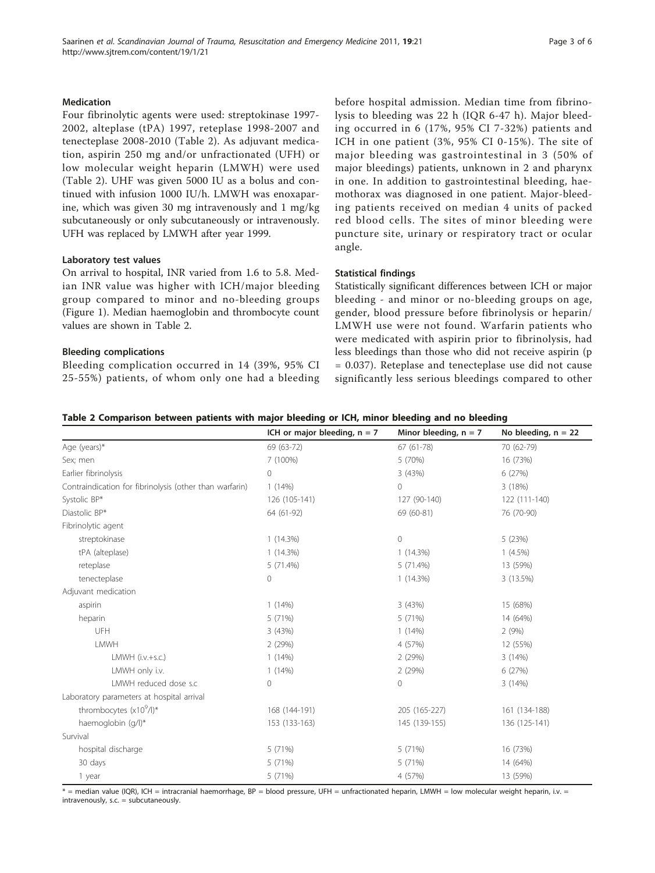#### <span id="page-2-0"></span>Medication

Four fibrinolytic agents were used: streptokinase 1997- 2002, alteplase (tPA) 1997, reteplase 1998-2007 and tenecteplase 2008-2010 (Table 2). As adjuvant medication, aspirin 250 mg and/or unfractionated (UFH) or low molecular weight heparin (LMWH) were used (Table 2). UHF was given 5000 IU as a bolus and continued with infusion 1000 IU/h. LMWH was enoxaparine, which was given 30 mg intravenously and 1 mg/kg subcutaneously or only subcutaneously or intravenously. UFH was replaced by LMWH after year 1999.

#### Laboratory test values

On arrival to hospital, INR varied from 1.6 to 5.8. Median INR value was higher with ICH/major bleeding group compared to minor and no-bleeding groups (Figure [1\)](#page-3-0). Median haemoglobin and thrombocyte count values are shown in Table 2.

## Bleeding complications

Bleeding complication occurred in 14 (39%, 95% CI 25-55%) patients, of whom only one had a bleeding before hospital admission. Median time from fibrinolysis to bleeding was 22 h (IQR 6-47 h). Major bleeding occurred in 6 (17%, 95% CI 7-32%) patients and ICH in one patient (3%, 95% CI 0-15%). The site of major bleeding was gastrointestinal in 3 (50% of major bleedings) patients, unknown in 2 and pharynx in one. In addition to gastrointestinal bleeding, haemothorax was diagnosed in one patient. Major-bleeding patients received on median 4 units of packed red blood cells. The sites of minor bleeding were puncture site, urinary or respiratory tract or ocular angle.

# Statistical findings

Statistically significant differences between ICH or major bleeding - and minor or no-bleeding groups on age, gender, blood pressure before fibrinolysis or heparin/ LMWH use were not found. Warfarin patients who were medicated with aspirin prior to fibrinolysis, had less bleedings than those who did not receive aspirin (p = 0.037). Reteplase and tenecteplase use did not cause significantly less serious bleedings compared to other

|  |  |  |  | Table 2 Comparison between patients with major bleeding or ICH, minor bleeding and no bleeding |
|--|--|--|--|------------------------------------------------------------------------------------------------|
|--|--|--|--|------------------------------------------------------------------------------------------------|

|                                                         | ICH or major bleeding, $n = 7$ | Minor bleeding, $n = 7$ | No bleeding, $n = 22$ |
|---------------------------------------------------------|--------------------------------|-------------------------|-----------------------|
| Age (years)*                                            | 69 (63-72)                     | $67(61-78)$             | 70 (62-79)            |
| Sex; men                                                | 7 (100%)                       | 5 (70%)                 | 16 (73%)              |
| Earlier fibrinolysis                                    | $\mathbf{0}$                   | 3 (43%)                 | 6(27%)                |
| Contraindication for fibrinolysis (other than warfarin) | 1(14%)                         | $\overline{0}$          | 3(18%)                |
| Systolic BP*                                            | 126 (105-141)                  | 127 (90-140)            | 122 (111-140)         |
| Diastolic BP*                                           | 64 (61-92)                     | 69 (60-81)              | 76 (70-90)            |
| Fibrinolytic agent                                      |                                |                         |                       |
| streptokinase                                           | $1(14.3\%)$                    | $\circ$                 | 5(23%)                |
| tPA (alteplase)                                         | 1(14.3%)                       | 1(14.3%)                | $1(4.5\%)$            |
| reteplase                                               | $5(71.4\%)$                    | 5(71.4%)                | 13 (59%)              |
| tenecteplase                                            | 0                              | 1(14.3%)                | 3 (13.5%)             |
| Adjuvant medication                                     |                                |                         |                       |
| aspirin                                                 | 1(14%)                         | 3(43%)                  | 15 (68%)              |
| heparin                                                 | 5 (71%)                        | 5 (71%)                 | 14 (64%)              |
| UFH                                                     | 3 (43%)                        | 1(14%)                  | 2(9%)                 |
| LMWH                                                    | 2 (29%)                        | 4 (57%)                 | 12 (55%)              |
| $LMWH$ (i.v.+s.c.)                                      | 1(14%)                         | 2(29%)                  | 3(14%)                |
| LMWH only i.v.                                          | 1(14%)                         | 2(29%)                  | 6(27%)                |
| LMWH reduced dose s.c                                   | 0                              | 0                       | 3(14%)                |
| Laboratory parameters at hospital arrival               |                                |                         |                       |
| thrombocytes (x10 <sup>9</sup> /l)*                     | 168 (144-191)                  | 205 (165-227)           | 161 (134-188)         |
| haemoglobin (q/l)*                                      | 153 (133-163)                  | 145 (139-155)           | 136 (125-141)         |
| Survival                                                |                                |                         |                       |
| hospital discharge                                      | 5 (71%)                        | 5 (71%)                 | 16 (73%)              |
| 30 days                                                 | 5 (71%)                        | 5 (71%)                 | 14 (64%)              |
| 1 year                                                  | 5 (71%)                        | 4 (57%)                 | 13 (59%)              |

\* = median value (IQR), ICH = intracranial haemorrhage, BP = blood pressure, UFH = unfractionated heparin, LMWH = low molecular weight heparin, i.v. = intravenously, s.c. = subcutaneously.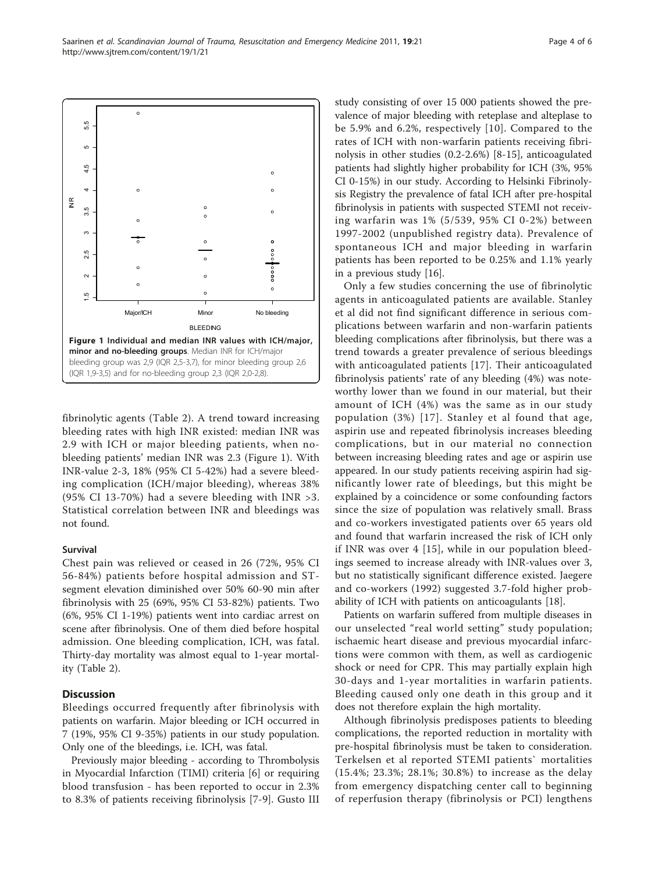fibrinolytic agents (Table [2\)](#page-2-0). A trend toward increasing bleeding rates with high INR existed: median INR was 2.9 with ICH or major bleeding patients, when nobleeding patients' median INR was 2.3 (Figure 1). With INR-value 2-3, 18% (95% CI 5-42%) had a severe bleeding complication (ICH/major bleeding), whereas 38% (95% CI 13-70%) had a severe bleeding with INR >3. Statistical correlation between INR and bleedings was not found.

#### Survival

Chest pain was relieved or ceased in 26 (72%, 95% CI 56-84%) patients before hospital admission and STsegment elevation diminished over 50% 60-90 min after fibrinolysis with 25 (69%, 95% CI 53-82%) patients. Two (6%, 95% CI 1-19%) patients went into cardiac arrest on scene after fibrinolysis. One of them died before hospital admission. One bleeding complication, ICH, was fatal. Thirty-day mortality was almost equal to 1-year mortality (Table [2](#page-2-0)).

#### **Discussion**

Bleedings occurred frequently after fibrinolysis with patients on warfarin. Major bleeding or ICH occurred in 7 (19%, 95% CI 9-35%) patients in our study population. Only one of the bleedings, i.e. ICH, was fatal.

Previously major bleeding - according to Thrombolysis in Myocardial Infarction (TIMI) criteria [\[6\]](#page-4-0) or requiring blood transfusion - has been reported to occur in 2.3% to 8.3% of patients receiving fibrinolysis [[7](#page-4-0)-[9\]](#page-4-0). Gusto III study consisting of over 15 000 patients showed the prevalence of major bleeding with reteplase and alteplase to be 5.9% and 6.2%, respectively [[10\]](#page-4-0). Compared to the rates of ICH with non-warfarin patients receiving fibrinolysis in other studies (0.2-2.6%) [[8](#page-4-0)[-15](#page-5-0)], anticoagulated patients had slightly higher probability for ICH (3%, 95% CI 0-15%) in our study. According to Helsinki Fibrinolysis Registry the prevalence of fatal ICH after pre-hospital fibrinolysis in patients with suspected STEMI not receiving warfarin was 1% (5/539, 95% CI 0-2%) between 1997-2002 (unpublished registry data). Prevalence of spontaneous ICH and major bleeding in warfarin patients has been reported to be 0.25% and 1.1% yearly in a previous study [\[16](#page-5-0)].

Only a few studies concerning the use of fibrinolytic agents in anticoagulated patients are available. Stanley et al did not find significant difference in serious complications between warfarin and non-warfarin patients bleeding complications after fibrinolysis, but there was a trend towards a greater prevalence of serious bleedings with anticoagulated patients [[17\]](#page-5-0). Their anticoagulated fibrinolysis patients' rate of any bleeding (4%) was noteworthy lower than we found in our material, but their amount of ICH (4%) was the same as in our study population (3%) [[17](#page-5-0)]. Stanley et al found that age, aspirin use and repeated fibrinolysis increases bleeding complications, but in our material no connection between increasing bleeding rates and age or aspirin use appeared. In our study patients receiving aspirin had significantly lower rate of bleedings, but this might be explained by a coincidence or some confounding factors since the size of population was relatively small. Brass and co-workers investigated patients over 65 years old and found that warfarin increased the risk of ICH only if INR was over 4 [[15\]](#page-5-0), while in our population bleedings seemed to increase already with INR-values over 3, but no statistically significant difference existed. Jaegere and co-workers (1992) suggested 3.7-fold higher probability of ICH with patients on anticoagulants [\[18\]](#page-5-0).

Patients on warfarin suffered from multiple diseases in our unselected "real world setting" study population; ischaemic heart disease and previous myocardial infarctions were common with them, as well as cardiogenic shock or need for CPR. This may partially explain high 30-days and 1-year mortalities in warfarin patients. Bleeding caused only one death in this group and it does not therefore explain the high mortality.

Although fibrinolysis predisposes patients to bleeding complications, the reported reduction in mortality with pre-hospital fibrinolysis must be taken to consideration. Terkelsen et al reported STEMI patients` mortalities (15.4%; 23.3%; 28.1%; 30.8%) to increase as the delay from emergency dispatching center call to beginning of reperfusion therapy (fibrinolysis or PCI) lengthens

<span id="page-3-0"></span>

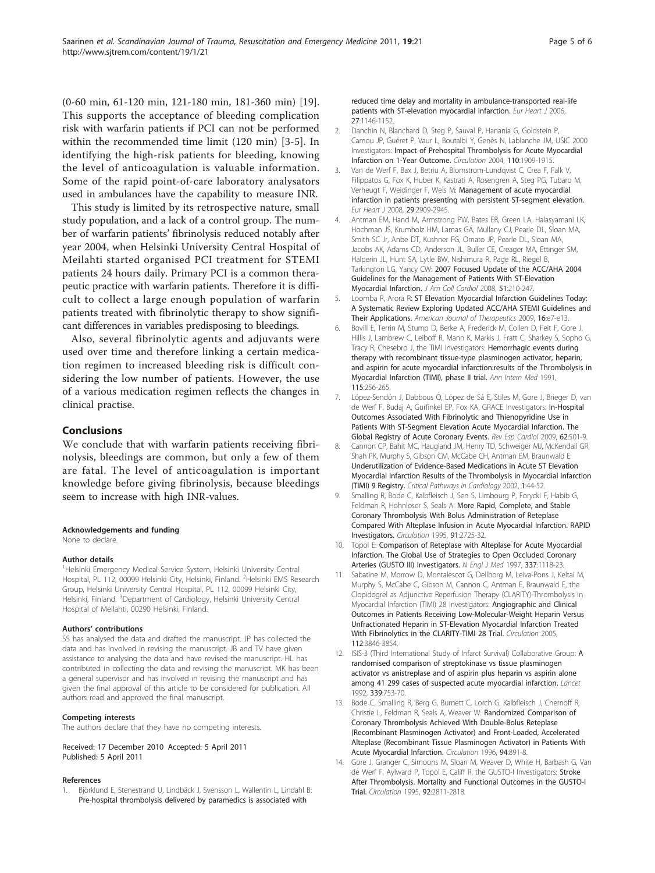<span id="page-4-0"></span>(0-60 min, 61-120 min, 121-180 min, 181-360 min) [[19](#page-5-0)]. This supports the acceptance of bleeding complication risk with warfarin patients if PCI can not be performed within the recommended time limit (120 min) [3-5]. In identifying the high-risk patients for bleeding, knowing the level of anticoagulation is valuable information. Some of the rapid point-of-care laboratory analysators used in ambulances have the capability to measure INR.

This study is limited by its retrospective nature, small study population, and a lack of a control group. The number of warfarin patients' fibrinolysis reduced notably after year 2004, when Helsinki University Central Hospital of Meilahti started organised PCI treatment for STEMI patients 24 hours daily. Primary PCI is a common therapeutic practice with warfarin patients. Therefore it is difficult to collect a large enough population of warfarin patients treated with fibrinolytic therapy to show significant differences in variables predisposing to bleedings.

Also, several fibrinolytic agents and adjuvants were used over time and therefore linking a certain medication regimen to increased bleeding risk is difficult considering the low number of patients. However, the use of a various medication regimen reflects the changes in clinical practise.

#### Conclusions

We conclude that with warfarin patients receiving fibrinolysis, bleedings are common, but only a few of them are fatal. The level of anticoagulation is important knowledge before giving fibrinolysis, because bleedings seem to increase with high INR-values.

#### Acknowledgements and funding

None to declare.

#### Author details

<sup>1</sup>Helsinki Emergency Medical Service System, Helsinki University Central Hospital, PL 112, 00099 Helsinki City, Helsinki, Finland. <sup>2</sup>Helsinki EMS Research Group, Helsinki University Central Hospital, PL 112, 00099 Helsinki City, Helsinki, Finland. <sup>3</sup>Department of Cardiology, Helsinki University Central Hospital of Meilahti, 00290 Helsinki, Finland.

#### Authors' contributions

SS has analysed the data and drafted the manuscript. JP has collected the data and has involved in revising the manuscript. JB and TV have given assistance to analysing the data and have revised the manuscript. HL has contributed in collecting the data and revising the manuscript. MK has been a general supervisor and has involved in revising the manuscript and has given the final approval of this article to be considered for publication. All authors read and approved the final manuscript.

#### Competing interests

The authors declare that they have no competing interests.

Received: 17 December 2010 Accepted: 5 April 2011 Published: 5 April 2011

#### References

Björklund E, Stenestrand U, Lindbäck J, Svensson L, Wallentin L, Lindahl B: [Pre-hospital thrombolysis delivered by paramedics is associated with](http://www.ncbi.nlm.nih.gov/pubmed/16624832?dopt=Abstract)

[reduced time delay and mortality in ambulance-transported real-life](http://www.ncbi.nlm.nih.gov/pubmed/16624832?dopt=Abstract) [patients with ST-elevation myocardial infarction.](http://www.ncbi.nlm.nih.gov/pubmed/16624832?dopt=Abstract) Eur Heart J 2006, 27:1146-1152.

- 2. Danchin N, Blanchard D, Steg P, Sauval P, Hanania G, Goldstein P, Camou JP, Guéret P, Vaur L, Boutalbi Y, Genès N, Lablanche JM, USIC 2000 Investigators: [Impact of Prehospital Thrombolysis for Acute Myocardial](http://www.ncbi.nlm.nih.gov/pubmed/15451803?dopt=Abstract) [Infarction on 1-Year Outcome.](http://www.ncbi.nlm.nih.gov/pubmed/15451803?dopt=Abstract) Circulation 2004, 110:1909-1915.
- 3. Van de Werf F, Bax J, Betriu A, Blomstrom-Lundqvist C, Crea F, Falk V, Filippatos G, Fox K, Huber K, Kastrati A, Rosengren A, Steg PG, Tubaro M, Verheugt F, Weidinger F, Weis M: [Management of acute myocardial](http://www.ncbi.nlm.nih.gov/pubmed/19004841?dopt=Abstract) [infarction in patients presenting with persistent ST-segment elevation.](http://www.ncbi.nlm.nih.gov/pubmed/19004841?dopt=Abstract) Eur Heart J 2008, 29:2909-2945.
- 4. Antman EM, Hand M, Armstrong PW, Bates ER, Green LA, Halasyamani LK, Hochman JS, Krumholz HM, Lamas GA, Mullany CJ, Pearle DL, Sloan MA, Smith SC Jr, Anbe DT, Kushner FG, Ornato JP, Pearle DL, Sloan MA, Jacobs AK, Adams CD, Anderson JL, Buller CE, Creager MA, Ettinger SM, Halperin JL, Hunt SA, Lytle BW, Nishimura R, Page RL, Riegel B, Tarkington LG, Yancy CW: [2007 Focused Update of the ACC/AHA 2004](http://www.ncbi.nlm.nih.gov/pubmed/18191746?dopt=Abstract) [Guidelines for the Management of Patients With ST-Elevation](http://www.ncbi.nlm.nih.gov/pubmed/18191746?dopt=Abstract) [Myocardial Infarction.](http://www.ncbi.nlm.nih.gov/pubmed/18191746?dopt=Abstract) J Am Coll Cardiol 2008, 51:210-247.
- 5. Loomba R, Arora R: [ST Elevation Myocardial Infarction Guidelines Today:](http://www.ncbi.nlm.nih.gov/pubmed/19531937?dopt=Abstract) [A Systematic Review Exploring Updated ACC/AHA STEMI Guidelines and](http://www.ncbi.nlm.nih.gov/pubmed/19531937?dopt=Abstract) [Their Applications.](http://www.ncbi.nlm.nih.gov/pubmed/19531937?dopt=Abstract) American Journal of Therapeutics 2009, 16:e7-e13.
- 6. Bovill E, Terrin M, Stump D, Berke A, Frederick M, Collen D, Feit F, Gore J, Hillis J, Lambrew C, Leiboff R, Mann K, Markis J, Fratt C, Sharkey S, Sopho G, Tracy R, Chesebro J, the TIMI Investigators: [Hemorrhagic events during](http://www.ncbi.nlm.nih.gov/pubmed/1906692?dopt=Abstract) [therapy with recombinant tissue-type plasminogen activator, heparin,](http://www.ncbi.nlm.nih.gov/pubmed/1906692?dopt=Abstract) [and aspirin for acute myocardial infarction:results of the Thrombolysis in](http://www.ncbi.nlm.nih.gov/pubmed/1906692?dopt=Abstract) [Myocardial Infarction \(TIMI\), phase II trial.](http://www.ncbi.nlm.nih.gov/pubmed/1906692?dopt=Abstract) Ann Intern Med 1991, 115:256-265.
- 7. López-Sendón J, Dabbous O, López de Sá E, Stiles M, Gore J, Brieger D, van de Werf F, Budaj A, Gurfinkel EP, Fox KA, GRACE Investigators: [In-Hospital](http://www.ncbi.nlm.nih.gov/pubmed/19406064?dopt=Abstract) [Outcomes Associated With Fibrinolytic and Thienopyridine Use in](http://www.ncbi.nlm.nih.gov/pubmed/19406064?dopt=Abstract) [Patients With ST-Segment Elevation Acute Myocardial Infarction. The](http://www.ncbi.nlm.nih.gov/pubmed/19406064?dopt=Abstract) [Global Registry of Acute Coronary Events.](http://www.ncbi.nlm.nih.gov/pubmed/19406064?dopt=Abstract) Rev Esp Cardiol 2009, 62:501-9.
- 8. Cannon CP, Bahit MC, Haugland JM, Henry TD, Schweiger MJ, McKendall GR, Shah PK, Murphy S, Gibson CM, McCabe CH, Antman EM, Braunwald E: [Underutilization of Evidence-Based Medications in Acute ST Elevation](http://www.ncbi.nlm.nih.gov/pubmed/18340288?dopt=Abstract) [Myocardial Infarction Results of the Thrombolysis in Myocardial Infarction](http://www.ncbi.nlm.nih.gov/pubmed/18340288?dopt=Abstract) [\(TIMI\) 9 Registry.](http://www.ncbi.nlm.nih.gov/pubmed/18340288?dopt=Abstract) Critical Pathways in Cardiology 2002, 1:44-52.
- 9. Smalling R, Bode C, Kalbfleisch J, Sen S, Limbourg P, Forycki F, Habib G, Feldman R, Hohnloser S, Seals A: [More Rapid, Complete, and Stable](http://www.ncbi.nlm.nih.gov/pubmed/7758177?dopt=Abstract) [Coronary Thrombolysis With Bolus Administration of Reteplase](http://www.ncbi.nlm.nih.gov/pubmed/7758177?dopt=Abstract) [Compared With Alteplase Infusion in Acute Myocardial Infarction. RAPID](http://www.ncbi.nlm.nih.gov/pubmed/7758177?dopt=Abstract) [Investigators.](http://www.ncbi.nlm.nih.gov/pubmed/7758177?dopt=Abstract) Circulation 1995, 91:2725-32.
- 10. Topol E: [Comparison of Reteplase with Alteplase for Acute Myocardial](http://www.ncbi.nlm.nih.gov/pubmed/9340503?dopt=Abstract) [Infarction. The Global Use of Strategies to Open Occluded Coronary](http://www.ncbi.nlm.nih.gov/pubmed/9340503?dopt=Abstract) [Arteries \(GUSTO III\) Investigators.](http://www.ncbi.nlm.nih.gov/pubmed/9340503?dopt=Abstract) N Engl J Med 1997, 337:1118-23.
- 11. Sabatine M, Morrow D, Montalescot G, Dellborg M, Leiva-Pons J, Keltai M, Murphy S, McCabe C, Gibson M, Cannon C, Antman E, Braunwald E, the Clopidogrel as Adjunctive Reperfusion Therapy (CLARITY)-Thrombolysis in Myocardial Infarction (TIMI) 28 Investigators: [Angiographic and Clinical](http://www.ncbi.nlm.nih.gov/pubmed/16291601?dopt=Abstract) [Outcomes in Patients Receiving Low-Molecular-Weight Heparin Versus](http://www.ncbi.nlm.nih.gov/pubmed/16291601?dopt=Abstract) [Unfractionated Heparin in ST-Elevation Myocardial Infarction Treated](http://www.ncbi.nlm.nih.gov/pubmed/16291601?dopt=Abstract) [With Fibrinolytics in the CLARITY-TIMI 28 Trial.](http://www.ncbi.nlm.nih.gov/pubmed/16291601?dopt=Abstract) Circulation 2005, 112:3846-3854.
- 12. ISIS-3 (Third International Study of Infarct Survival) Collaborative Group: [A](http://www.ncbi.nlm.nih.gov/pubmed/1347801?dopt=Abstract) [randomised comparison of streptokinase vs tissue plasminogen](http://www.ncbi.nlm.nih.gov/pubmed/1347801?dopt=Abstract) [activator vs anistreplase and of aspirin plus heparin vs aspirin alone](http://www.ncbi.nlm.nih.gov/pubmed/1347801?dopt=Abstract) [among 41 299 cases of suspected acute myocardial infarction.](http://www.ncbi.nlm.nih.gov/pubmed/1347801?dopt=Abstract) Lancet 1992, 339:753-70.
- 13. Bode C, Smalling R, Berg G, Burnett C, Lorch G, Kalbfleisch J, Chernoff R, Christie L, Feldman R, Seals A, Weaver W: Randomized [Comparison of](http://www.ncbi.nlm.nih.gov/pubmed/8790022?dopt=Abstract) [Coronary Thrombolysis Achieved With Double-Bolus Reteplase](http://www.ncbi.nlm.nih.gov/pubmed/8790022?dopt=Abstract) [\(Recombinant Plasminogen Activator\) and Front-Loaded, Accelerated](http://www.ncbi.nlm.nih.gov/pubmed/8790022?dopt=Abstract) [Alteplase \(Recombinant Tissue Plasminogen Activator\) in Patients With](http://www.ncbi.nlm.nih.gov/pubmed/8790022?dopt=Abstract) [Acute Myocardial Infarction.](http://www.ncbi.nlm.nih.gov/pubmed/8790022?dopt=Abstract) Circulation 1996, 94:891-8.
- 14. Gore J, Granger C, Simoons M, Sloan M, Weaver D, White H, Barbash G, Van de Werf F, Aylward P, Topol E, Califf R, the GUSTO-I Investigators: [Stroke](http://www.ncbi.nlm.nih.gov/pubmed/7586246?dopt=Abstract) [After Thrombolysis. Mortality and Functional Outcomes in the GUSTO-I](http://www.ncbi.nlm.nih.gov/pubmed/7586246?dopt=Abstract) [Trial.](http://www.ncbi.nlm.nih.gov/pubmed/7586246?dopt=Abstract) Circulation 1995, 92:2811-2818.